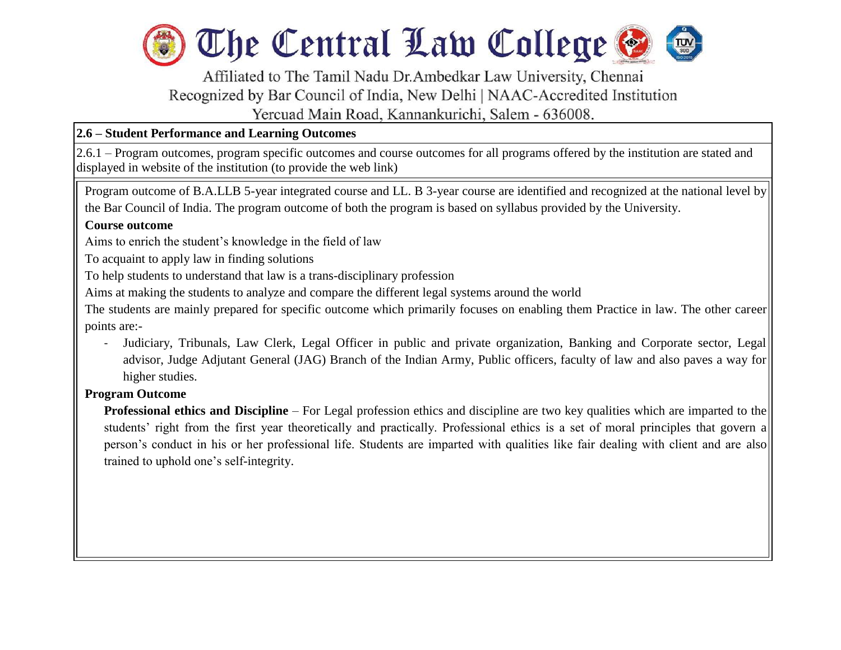

Affiliated to The Tamil Nadu Dr.Ambedkar Law University, Chennai Recognized by Bar Council of India, New Delhi | NAAC-Accredited Institution Yercuad Main Road, Kannankurichi, Salem - 636008.

## **2.6 – Student Performance and Learning Outcomes**

2.6.1 – Program outcomes, program specific outcomes and course outcomes for all programs offered by the institution are stated and displayed in website of the institution (to provide the web link)

Program outcome of B.A.LLB 5-year integrated course and LL. B 3-year course are identified and recognized at the national level by the Bar Council of India. The program outcome of both the program is based on syllabus provided by the University.

## **Course outcome**

l

Aims to enrich the student's knowledge in the field of law

To acquaint to apply law in finding solutions

To help students to understand that law is a trans-disciplinary profession

Aims at making the students to analyze and compare the different legal systems around the world

The students are mainly prepared for specific outcome which primarily focuses on enabling them Practice in law. The other career points are:-

- Judiciary, Tribunals, Law Clerk, Legal Officer in public and private organization, Banking and Corporate sector, Legal advisor, Judge Adjutant General (JAG) Branch of the Indian Army, Public officers, faculty of law and also paves a way for higher studies.

## **Program Outcome**

**Professional ethics and Discipline** – For Legal profession ethics and discipline are two key qualities which are imparted to the students' right from the first year theoretically and practically. Professional ethics is a set of moral principles that govern a person's conduct in his or her professional life. Students are imparted with qualities like fair dealing with client and are also trained to uphold one's self-integrity.